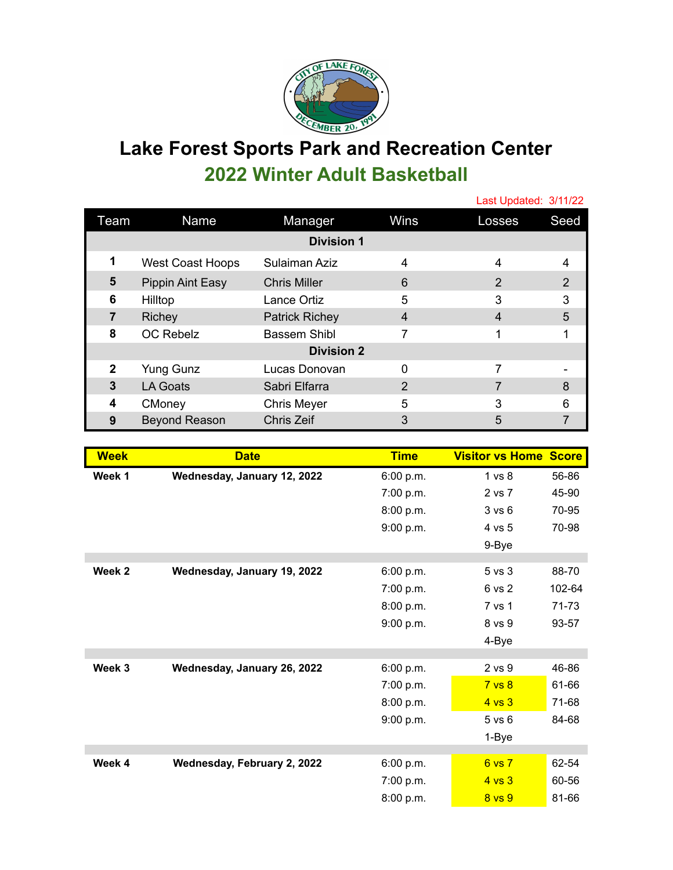

## **Lake Forest Sports Park and Recreation Center 2022 Winter Adult Basketball**

|                   |                         |                       |                | Last Updated: 3/11/22 |               |  |  |  |
|-------------------|-------------------------|-----------------------|----------------|-----------------------|---------------|--|--|--|
| Team              | Name                    | Manager               | Wins           | Losses                | Seed          |  |  |  |
| <b>Division 1</b> |                         |                       |                |                       |               |  |  |  |
| 1                 | <b>West Coast Hoops</b> | Sulaiman Aziz         | 4              | 4                     | 4             |  |  |  |
| 5                 | Pippin Aint Easy        | <b>Chris Miller</b>   | 6              | 2                     | $\mathcal{P}$ |  |  |  |
| 6                 | Hilltop                 | Lance Ortiz           | 5              | 3                     | 3             |  |  |  |
| 7                 | <b>Richey</b>           | <b>Patrick Richey</b> | $\overline{4}$ | $\overline{4}$        | 5             |  |  |  |
| 8                 | <b>OC Rebelz</b>        | Bassem Shibl          | 7              |                       |               |  |  |  |
| <b>Division 2</b> |                         |                       |                |                       |               |  |  |  |
| $\mathbf{2}$      | <b>Yung Gunz</b>        | Lucas Donovan         | $\Omega$       | 7                     |               |  |  |  |
| 3                 | LA Goats                | Sabri Elfarra         | $\overline{2}$ | 7                     | 8             |  |  |  |
| 4                 | CMoney                  | <b>Chris Meyer</b>    | 5              | 3                     | 6             |  |  |  |
| 9                 | <b>Beyond Reason</b>    | Chris Zeif            | 3              | 5                     |               |  |  |  |

| <b>Week</b> | <b>Date</b>                 | <b>Time</b> | <b>Visitor vs Home Score</b> |        |
|-------------|-----------------------------|-------------|------------------------------|--------|
| Week 1      | Wednesday, January 12, 2022 | 6:00 p.m.   | 1 <sub>vs</sub> 8            | 56-86  |
|             |                             | 7:00 p.m.   | 2 vs 7                       | 45-90  |
|             |                             | 8:00 p.m.   | 3 v s 6                      | 70-95  |
|             |                             | 9:00 p.m.   | 4 vs 5                       | 70-98  |
|             |                             |             | 9-Bye                        |        |
| Week 2      | Wednesday, January 19, 2022 | 6:00 p.m.   | 5 vs 3                       | 88-70  |
|             |                             | 7:00 p.m.   | 6 vs 2                       | 102-64 |
|             |                             | 8:00 p.m.   | 7 vs 1                       | 71-73  |
|             |                             | 9:00 p.m.   | 8 vs 9                       | 93-57  |
|             |                             |             | 4-Bye                        |        |
|             |                             |             |                              |        |
| Week 3      | Wednesday, January 26, 2022 | 6:00 p.m.   | 2 vs 9                       | 46-86  |
|             |                             | 7:00 p.m.   | 7 <sub>vs</sub> 8            | 61-66  |
|             |                             | 8:00 p.m.   | $4$ vs $3$                   | 71-68  |
|             |                             | 9:00 p.m.   | $5$ vs $6$                   | 84-68  |
|             |                             |             | 1-Bye                        |        |
| Week 4      | Wednesday, February 2, 2022 | 6:00 p.m.   | 6 vs 7                       | 62-54  |
|             |                             | 7:00 p.m.   | $4$ vs $3$                   | 60-56  |
|             |                             | 8:00 p.m.   | 8 <sub>vs</sub> 9            | 81-66  |
|             |                             |             |                              |        |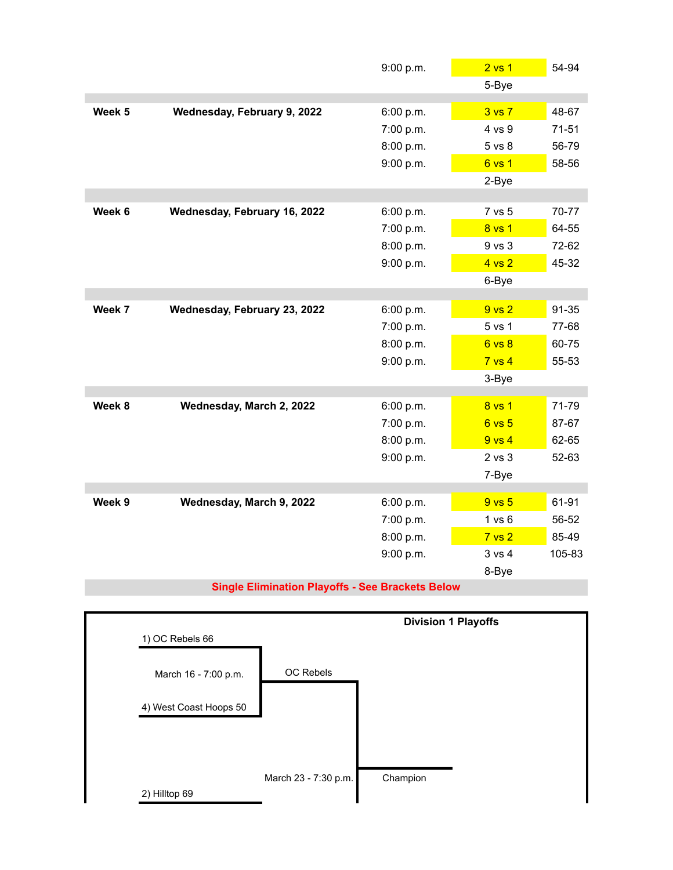|        |                              | 9:00 p.m. | 2 <sub>vs</sub> 1 | 54-94     |
|--------|------------------------------|-----------|-------------------|-----------|
|        |                              |           | 5-Bye             |           |
| Week 5 |                              |           | 3 <sub>vs</sub> 7 | 48-67     |
|        | Wednesday, February 9, 2022  | 6:00 p.m. |                   |           |
|        |                              | 7:00 p.m. | 4 vs 9            | $71 - 51$ |
|        |                              | 8:00 p.m. | 5 vs 8            | 56-79     |
|        |                              | 9:00 p.m. | 6 vs 1            | 58-56     |
|        |                              |           | 2-Bye             |           |
| Week 6 | Wednesday, February 16, 2022 | 6:00 p.m. | 7 vs 5            | 70-77     |
|        |                              | 7:00 p.m. | 8 vs 1            | 64-55     |
|        |                              | 8:00 p.m. | 9 vs 3            | 72-62     |
|        |                              | 9:00 p.m. | 4 vs 2            | 45-32     |
|        |                              |           | 6-Bye             |           |
|        |                              |           |                   |           |
| Week 7 | Wednesday, February 23, 2022 | 6:00 p.m. | 9 <sub>vs</sub> 2 | 91-35     |
|        |                              | 7:00 p.m. | 5 vs 1            | 77-68     |
|        |                              | 8:00 p.m. | 6 vs 8            | 60-75     |
|        |                              | 9:00 p.m. | $7$ vs $4$        | 55-53     |
|        |                              |           | 3-Bye             |           |
| Week 8 | Wednesday, March 2, 2022     | 6:00 p.m. | 8 vs 1            | 71-79     |
|        |                              | 7:00 p.m. | 6 vs 5            | 87-67     |
|        |                              | 8:00 p.m. | $9$ vs $4$        | 62-65     |
|        |                              | 9:00 p.m. | $2$ vs $3$        | 52-63     |
|        |                              |           | 7-Bye             |           |
|        |                              |           |                   |           |
| Week 9 | Wednesday, March 9, 2022     | 6:00 p.m. | 9 <sub>vs</sub> 5 | 61-91     |
|        |                              | 7:00 p.m. | 1 v s 6           | 56-52     |
|        |                              | 8:00 p.m. | 7 <sub>vs</sub> 2 | 85-49     |
|        |                              | 9:00 p.m. | 3 vs 4            | 105-83    |
|        |                              |           | 8-Bye             |           |

## **Single Elimination Playoffs - See Brackets Below**